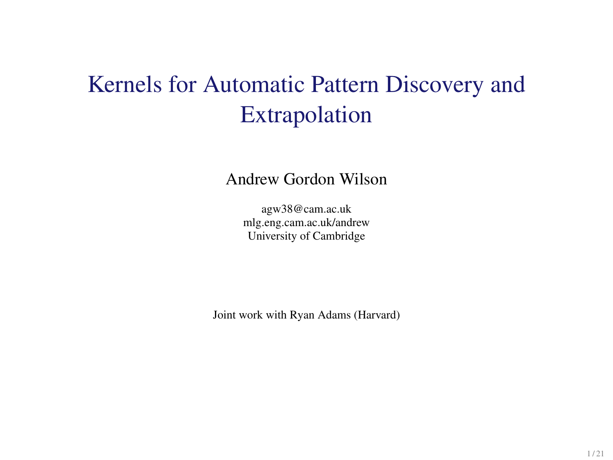# Kernels for Automatic Pattern Discovery and Extrapolation

Andrew Gordon Wilson

agw38@cam.ac.uk mlg.eng.cam.ac.uk/andrew University of Cambridge

Joint work with Ryan Adams (Harvard)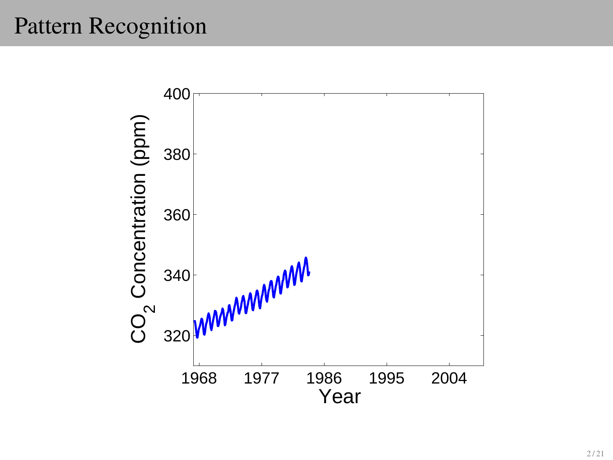# Pattern Recognition

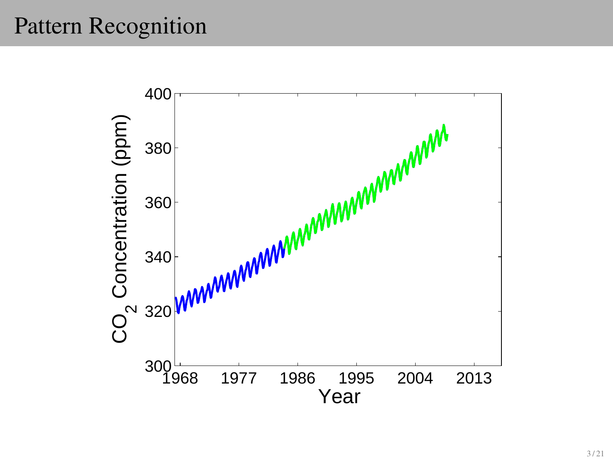# Pattern Recognition

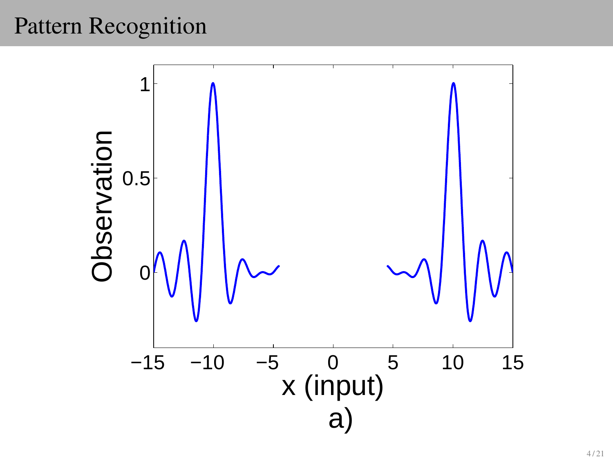# Pattern Recognition

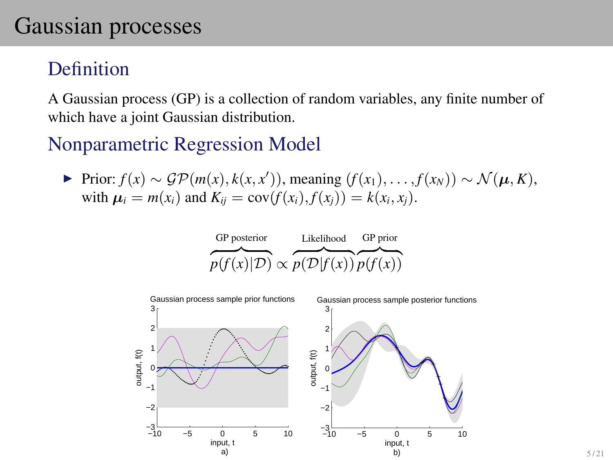# Gaussian processes

### Definition

A Gaussian process (GP) is a collection of random variables, any finite number of which have a joint Gaussian distribution.

#### Nonparametric Regression Model

 $\triangleright$  Prior:  $f(x) \sim \mathcal{GP}(m(x), k(x, x'))$ , meaning  $(f(x_1), \ldots, f(x_N)) \sim \mathcal{N}(\boldsymbol{\mu}, K)$ , with  $\mu_i = m(x_i)$  and  $K_{ii} = cov(f(x_i), f(x_i)) = k(x_i, x_i)$ .

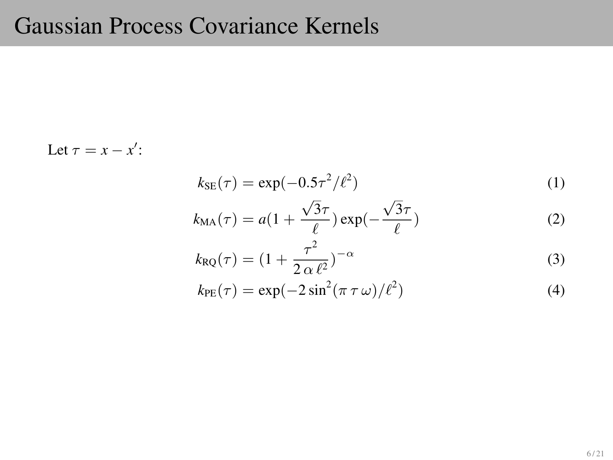# Gaussian Process Covariance Kernels

Let  $\tau = x - x'$ :

$$
k_{\text{SE}}(\tau) = \exp(-0.5\tau^2/\ell^2)
$$
 (1)

$$
k_{\text{MA}}(\tau) = a(1 + \frac{\sqrt{3}\tau}{\ell}) \exp(-\frac{\sqrt{3}\tau}{\ell})
$$
 (2)

$$
k_{\rm RQ}(\tau) = \left(1 + \frac{\tau^2}{2\,\alpha\,\ell^2}\right)^{-\alpha} \tag{3}
$$

$$
k_{\rm PE}(\tau) = \exp(-2\sin^2(\pi \tau \omega)/\ell^2)
$$
\n(4)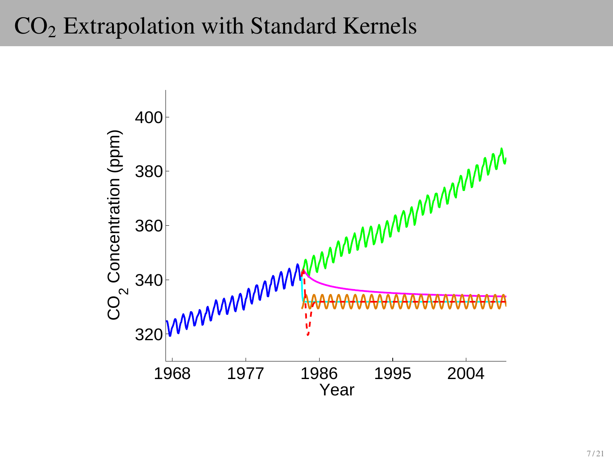# $CO<sub>2</sub>$  Extrapolation with Standard Kernels

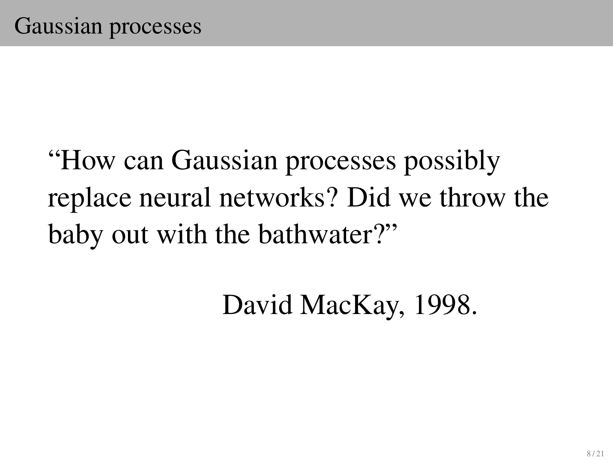# "How can Gaussian processes possibly replace neural networks? Did we throw the baby out with the bathwater?"

David MacKay, 1998.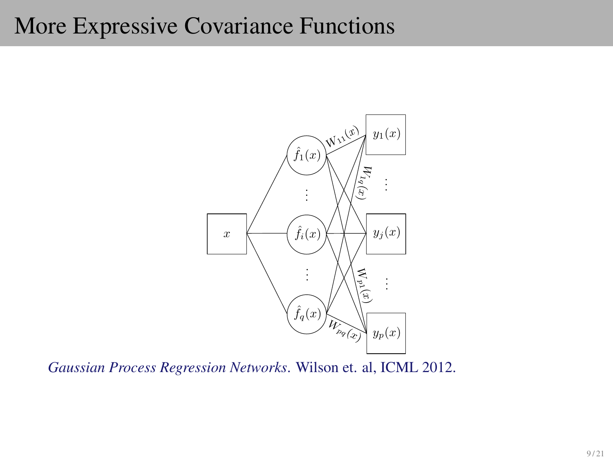# More Expressive Covariance Functions



*Gaussian Process Regression Networks*. Wilson et. al, ICML 2012.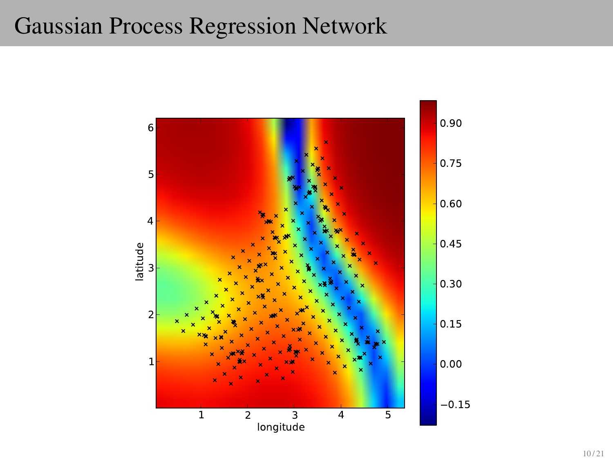### Gaussian Process Regression Network

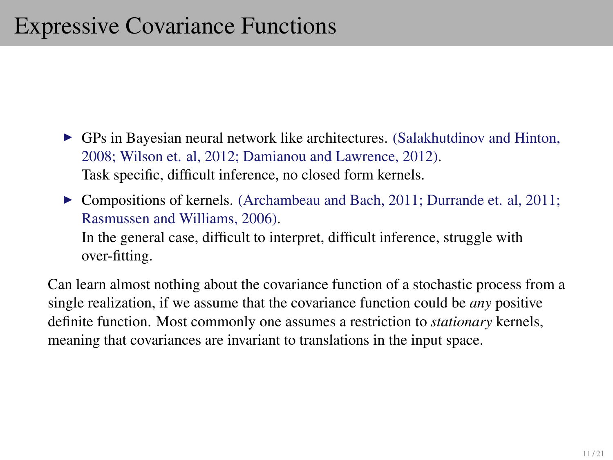- $\triangleright$  GPs in Bayesian neural network like architectures. (Salakhutdinov and Hinton, 2008; Wilson et. al, 2012; Damianou and Lawrence, 2012). Task specific, difficult inference, no closed form kernels.
- ▶ Compositions of kernels. (Archambeau and Bach, 2011; Durrande et. al, 2011; Rasmussen and Williams, 2006). In the general case, difficult to interpret, difficult inference, struggle with over-fitting.

Can learn almost nothing about the covariance function of a stochastic process from a single realization, if we assume that the covariance function could be *any* positive definite function. Most commonly one assumes a restriction to *stationary* kernels, meaning that covariances are invariant to translations in the input space.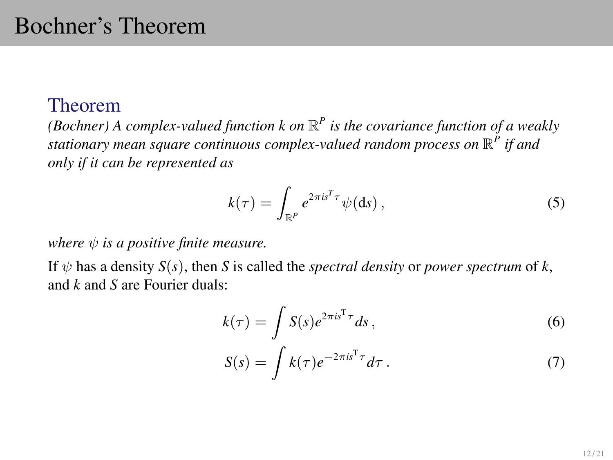#### Theorem

(Bochner) A complex-valued function  $k$  on  $\mathbb{R}^P$  is the covariance function of a weakly *stationary mean square continuous complex-valued random process on* R *P if and only if it can be represented as*

$$
k(\tau) = \int_{\mathbb{R}^P} e^{2\pi i s^T \tau} \psi(ds) , \qquad (5)
$$

*where*  $\psi$  *is a positive finite measure.* 

If  $\psi$  has a density  $S(s)$ , then *S* is called the *spectral density* or *power spectrum* of *k*, and *k* and *S* are Fourier duals:

$$
k(\tau) = \int S(s)e^{2\pi is^{\mathrm{T}}\tau} ds,
$$
\n(6)

$$
S(s) = \int k(\tau) e^{-2\pi i s^{\mathrm{T}} \tau} d\tau \,. \tag{7}
$$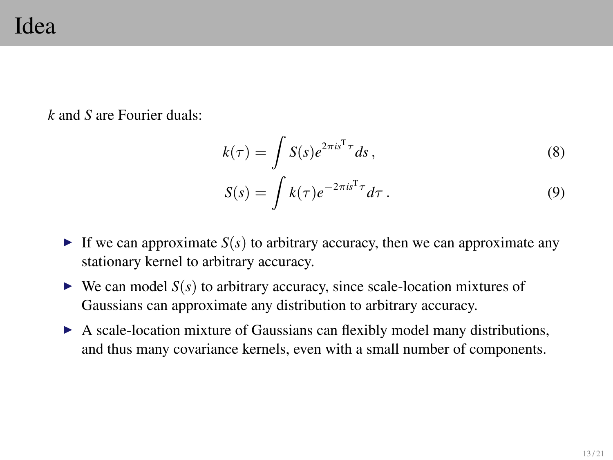### Idea

*k* and *S* are Fourier duals:

$$
k(\tau) = \int S(s)e^{2\pi is^{\mathrm{T}}\tau} ds,
$$
\n(8)

$$
S(s) = \int k(\tau) e^{-2\pi i s^{\mathrm{T}} \tau} d\tau.
$$
 (9)

- If we can approximate  $S(s)$  to arbitrary accuracy, then we can approximate any stationary kernel to arbitrary accuracy.
- $\triangleright$  We can model  $S(s)$  to arbitrary accuracy, since scale-location mixtures of Gaussians can approximate any distribution to arbitrary accuracy.
- A scale-location mixture of Gaussians can flexibly model many distributions, and thus many covariance kernels, even with a small number of components.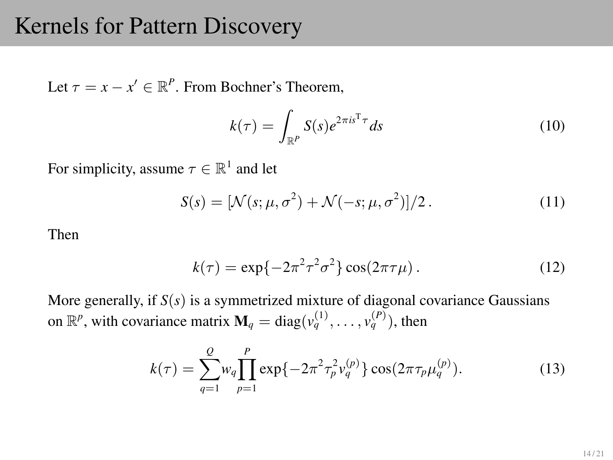### Kernels for Pattern Discovery

Let  $\tau = x - x' \in \mathbb{R}^P$ . From Bochner's Theorem,

$$
k(\tau) = \int_{\mathbb{R}^P} S(s)e^{2\pi i s^{\mathrm{T}} \tau} ds \tag{10}
$$

For simplicity, assume  $\tau \in \mathbb{R}^1$  and let

$$
S(s) = \left[\mathcal{N}(s; \mu, \sigma^2) + \mathcal{N}(-s; \mu, \sigma^2)\right]/2. \tag{11}
$$

Then

$$
k(\tau) = \exp\{-2\pi^2 \tau^2 \sigma^2\} \cos(2\pi \tau \mu). \tag{12}
$$

More generally, if  $S(s)$  is a symmetrized mixture of diagonal covariance Gaussians on  $\mathbb{R}^p$ , with covariance matrix  $\mathbf{M}_q = \text{diag}(v_q^{(1)}, \dots, v_q^{(P)})$ , then

$$
k(\tau) = \sum_{q=1}^{Q} w_q \prod_{p=1}^{P} \exp\{-2\pi^2 \tau_p^2 v_q^{(p)}\} \cos(2\pi \tau_p \mu_q^{(p)}).
$$
 (13)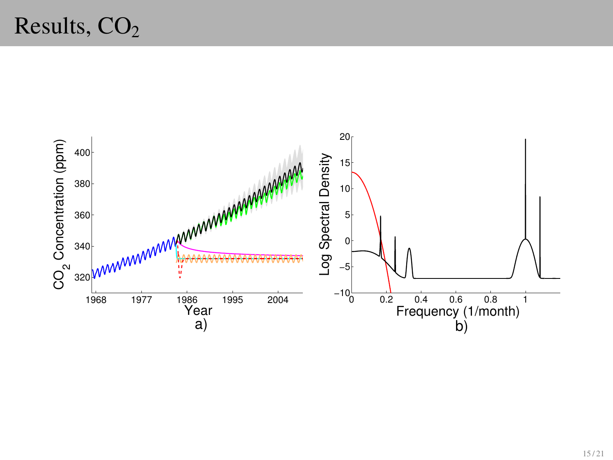# Results,  $CO<sub>2</sub>$

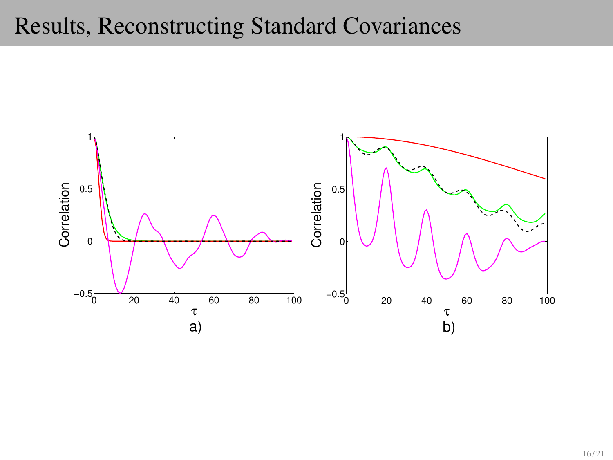### Results, Reconstructing Standard Covariances

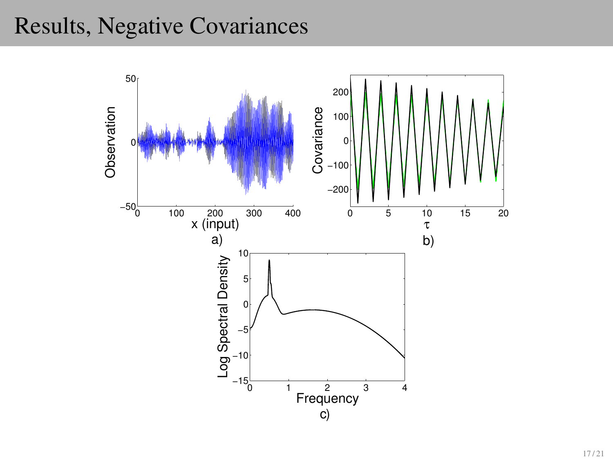### Results, Negative Covariances

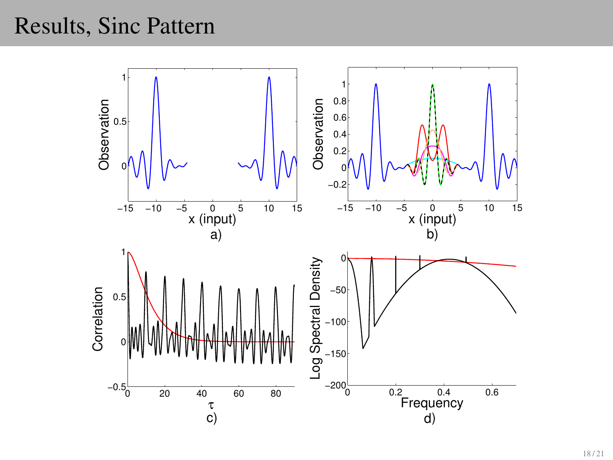### Results, Sinc Pattern

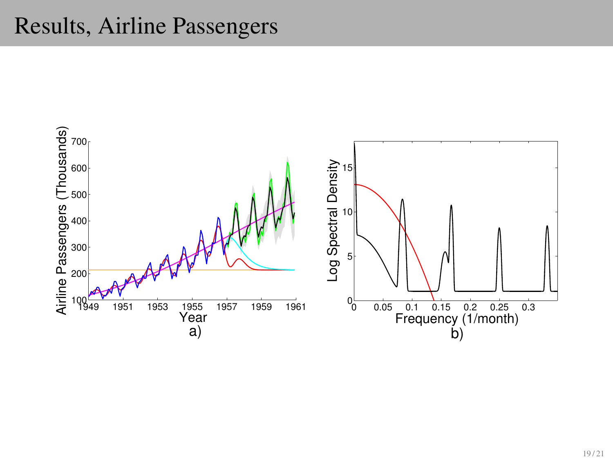### Results, Airline Passengers

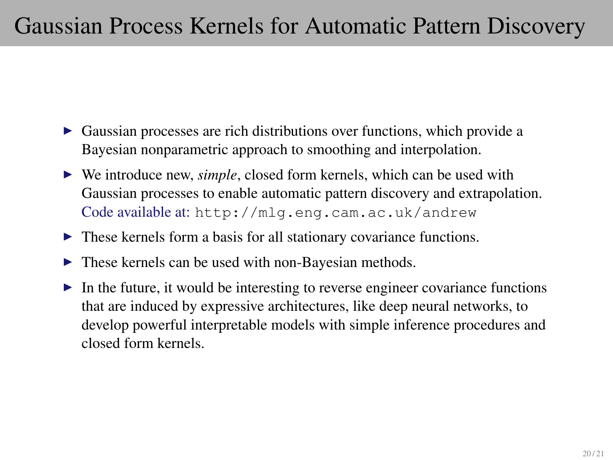# Gaussian Process Kernels for Automatic Pattern Discovery

- $\triangleright$  Gaussian processes are rich distributions over functions, which provide a Bayesian nonparametric approach to smoothing and interpolation.
- ► We introduce new, *simple*, closed form kernels, which can be used with Gaussian processes to enable automatic pattern discovery and extrapolation. Code available at: <http://mlg.eng.cam.ac.uk/andrew>
- $\triangleright$  These kernels form a basis for all stationary covariance functions.
- $\blacktriangleright$  These kernels can be used with non-Bayesian methods.
- $\triangleright$  In the future, it would be interesting to reverse engineer covariance functions that are induced by expressive architectures, like deep neural networks, to develop powerful interpretable models with simple inference procedures and closed form kernels.